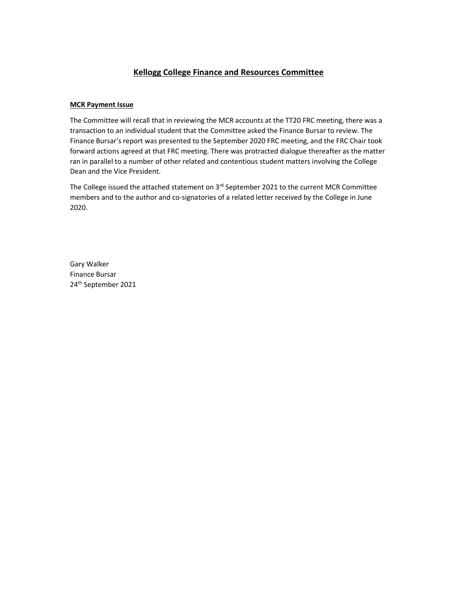## **Kellogg College Finance and Resources Committee**

## **MCR Payment Issue**

The Committee will recall that in reviewing the MCR accounts at the TT20 FRC meeting, there was a transaction to an individual student that the Committee asked the Finance Bursar to review. The Finance Bursar's report was presented to the September 2020 FRC meeting, and the FRC Chair took forward actions agreed at that FRC meeting. There was protracted dialogue thereafter as the matter ran in parallel to a number of other related and contentious student matters involving the College Dean and the Vice President.

The College issued the attached statement on  $3<sup>rd</sup>$  September 2021 to the current MCR Committee members and to the author and co-signatories of a related letter received by the College in June 2020.

Gary Walker Finance Bursar 24th September 2021